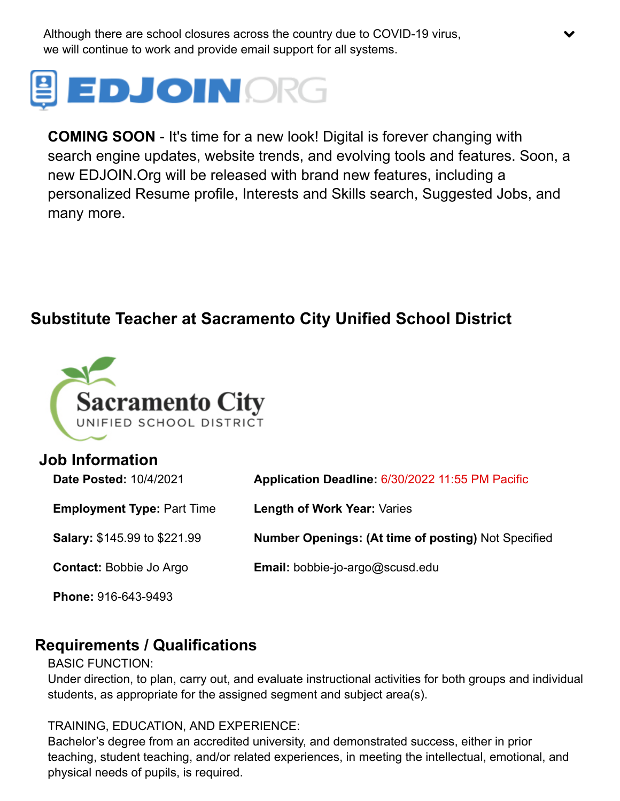Although there are school closures across the country due to COVID-19 virus, we will continue to work and provide email support for all systems.



**COMING SOON** - It's time for a new look! Digital is forever changing with search engine updates, website trends, and evolving tools and features. Soon, a new EDJOIN.Org will be released with brand new features, including a personalized Resume profile, Interests and Skills search, Suggested Jobs, and many more.

 $\blacktriangledown$ 

## **Substitute Teacher at Sacramento City Unified School District**



# **Job Information Date Posted:** 10/4/2021 **Application Deadline:** 6/30/2022 11:55 PM Pacific **Employment Type:** Part Time **Length of Work Year:** Varies **Salary:** \$145.99 to \$221.99 **Number Openings: (At time of posting)** Not Specified **Contact:** Bobbie Jo Argo **Email:** [bobbie-jo-argo@scusd.edu](mailto:bobbie-jo-argo@scusd.edu) **Phone:** 916-643-9493

#### **Requirements / Qualifications**

#### BASIC FUNCTION:

Under direction, to plan, carry out, and evaluate instructional activities for both groups and individual students, as appropriate for the assigned segment and subject area(s).

TRAINING, EDUCATION, AND EXPERIENCE:

Bachelor's degree from an accredited university, and demonstrated success, either in prior teaching, student teaching, and/or related experiences, in meeting the intellectual, emotional, and physical needs of pupils, is required.